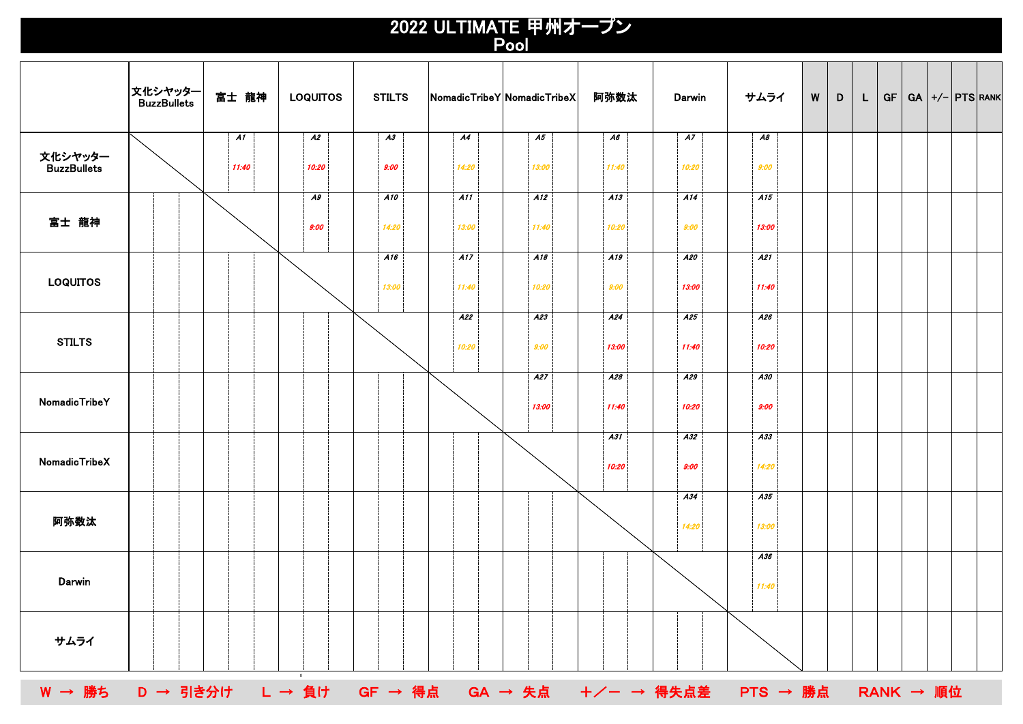## 2022 ULTIMATE 甲州オープン Pool

|                                                            | │文化シヤッター<br>│ BuzzBullets | 富士 龍神       | <b>LOQUITOS</b>          | <b>STILTS</b> | NomadicTribeY NomadicTribeX |              | 阿弥数汰         | Darwin       | サムライ         | W | D | L | <b>GF</b> | $GA$ +/- $PTS$ RANK |  |  |
|------------------------------------------------------------|---------------------------|-------------|--------------------------|---------------|-----------------------------|--------------|--------------|--------------|--------------|---|---|---|-----------|---------------------|--|--|
| 文化シヤッター<br>BuzzBullets                                     |                           | A1<br>11:40 | $\overline{A2}$<br>10:20 | A3<br>9:00    | A4<br>14:20                 | A5<br>13:00  | A6<br>11:40  | A7<br>10:20  | A8<br>9:00   |   |   |   |           |                     |  |  |
| 富士 龍神                                                      |                           |             | A9<br>9:00               | A10<br>14:20  | A11<br>13:00                | A12<br>11:40 | A13<br>10:20 | A14<br>9:00  | A15<br>13:00 |   |   |   |           |                     |  |  |
| <b>LOQUITOS</b>                                            |                           |             |                          | A16<br>13:00  | A17<br>11:40                | A18<br>10:20 | A19<br>9:00  | A20<br>13:00 | A21<br>11:40 |   |   |   |           |                     |  |  |
| <b>STILTS</b>                                              |                           |             |                          |               | A22<br>10:20                | A23<br>9:00  | A24<br>13:00 | A25<br>11:40 | A26<br>10:20 |   |   |   |           |                     |  |  |
| NomadicTribeY                                              |                           |             |                          |               |                             | A27<br>13:00 | A28<br>11:40 | A29<br>10:20 | A30<br>9:00  |   |   |   |           |                     |  |  |
| NomadicTribeX                                              |                           |             |                          |               |                             |              | A31<br>10:20 | A32<br>9:00  | A33<br>14:20 |   |   |   |           |                     |  |  |
| 阿弥数汰                                                       |                           |             |                          |               |                             |              |              | A34<br>14:20 | A35<br>13:00 |   |   |   |           |                     |  |  |
| Darwin                                                     |                           |             |                          |               |                             |              |              |              | A36<br>11:40 |   |   |   |           |                     |  |  |
| サムライ                                                       |                           |             |                          |               |                             |              |              |              |              |   |   |   |           |                     |  |  |
| W → 勝ち D → 引き分け L → 負け GF → 得点 GA → 失点 +/- → 得失点差 PTS → 勝点 |                           |             |                          |               |                             |              |              |              |              |   |   |   |           | <b>RANK → 順位</b>    |  |  |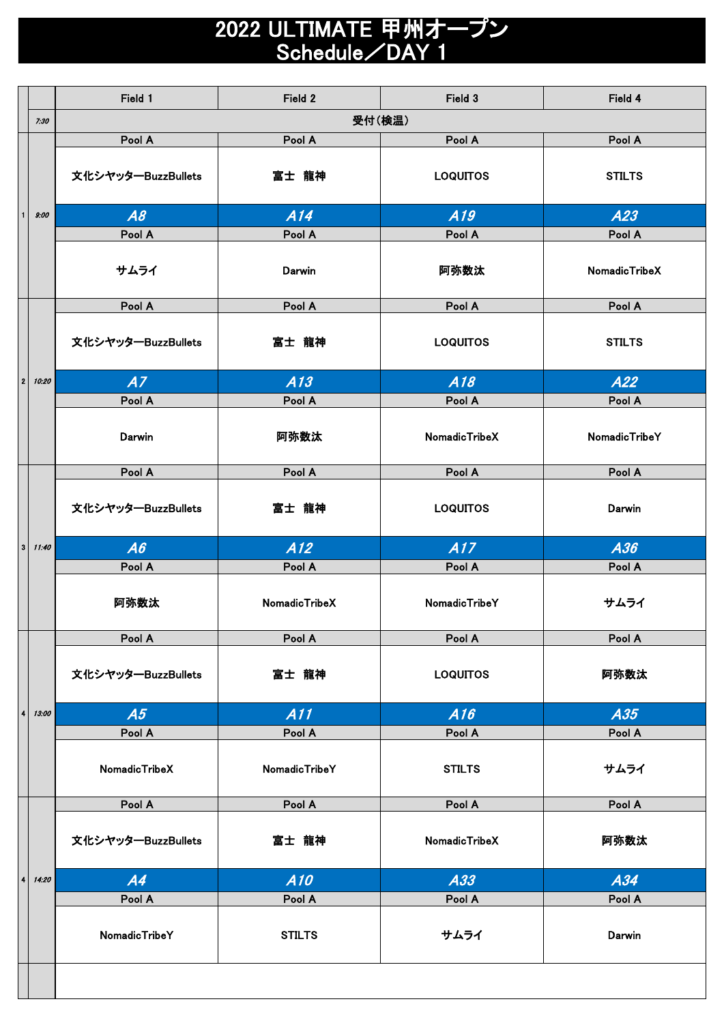## 2022 ULTIMATE 甲州オープン Schedule/DAY 1

|                         |       | Field 1            | Field 2              | Field 4         |                      |  |  |
|-------------------------|-------|--------------------|----------------------|-----------------|----------------------|--|--|
|                         | 7:30  |                    |                      |                 |                      |  |  |
|                         |       | Pool A             | Pool A               | Pool A          | Pool A               |  |  |
|                         |       | 文化シヤッターBuzzBullets | 富士 龍神                | <b>LOQUITOS</b> | <b>STILTS</b>        |  |  |
|                         | 9:00  | A8                 | A14                  | A19             | A23                  |  |  |
|                         |       | Pool A             | Pool A               | Pool A          | Pool A               |  |  |
|                         |       | サムライ               | Darwin               | 阿弥数汰            | NomadicTribeX        |  |  |
|                         |       | Pool A             | Pool A               | Pool A          | Pool A               |  |  |
|                         |       | 文化シヤッターBuzzBullets | 富士 龍神                | <b>LOQUITOS</b> | <b>STILTS</b>        |  |  |
| $\overline{2}$          | 10:20 | A7                 | A13                  | A18             | A22                  |  |  |
|                         |       | Pool A             | Pool A               | Pool A          | Pool A               |  |  |
|                         |       | Darwin             | 阿弥数汰                 | NomadicTribeX   | <b>NomadicTribeY</b> |  |  |
|                         |       | Pool A             | Pool A               | Pool A          | Pool A               |  |  |
|                         | 11:40 | 文化シヤッターBuzzBullets | 富士 龍神                | <b>LOQUITOS</b> | Darwin               |  |  |
|                         |       |                    |                      |                 |                      |  |  |
| $\mathbf{3}$            |       | A6                 | A12                  | A17             | A36                  |  |  |
|                         |       | Pool A             | Pool A               | Pool A          | Pool A               |  |  |
|                         |       | 阿弥数汰               | NomadicTribeX        | NomadicTribeY   | サムライ                 |  |  |
|                         |       | Pool A             | Pool A               | Pool A          | Pool A               |  |  |
|                         |       | 文化シヤッターBuzzBullets | 富士 龍神                | <b>LOQUITOS</b> | 阿弥数汰                 |  |  |
| $\overline{\mathbf{4}}$ | 13:00 | A5                 | A11                  | A16             | A35                  |  |  |
|                         |       | Pool A             | Pool A               | Pool A          | Pool A               |  |  |
|                         |       | NomadicTribeX      | <b>NomadicTribeY</b> | <b>STILTS</b>   | サムライ                 |  |  |
|                         |       | Pool A             | Pool A               | Pool A          | Pool A               |  |  |
|                         |       | 文化シヤッターBuzzBullets | 富士 龍神                | NomadicTribeX   | 阿弥数汰                 |  |  |
| 4                       | 14:20 | A4                 | A10                  | A33             | A34                  |  |  |
|                         |       | Pool A             | Pool A               | Pool A          | Pool A               |  |  |
|                         |       | NomadicTribeY      | <b>STILTS</b>        | サムライ            | Darwin               |  |  |